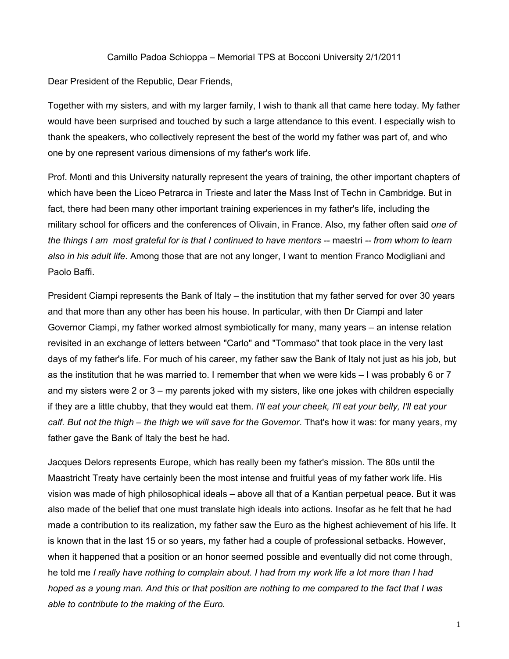## Camillo Padoa Schioppa ‒ Memorial TPS at Bocconi University 2/1/2011

Dear President of the Republic, Dear Friends,

Together with my sisters, and with my larger family, I wish to thank all that came here today. My father would have been surprised and touched by such a large attendance to this event. I especially wish to thank the speakers, who collectively represent the best of the world my father was part of, and who one by one represent various dimensions of my father's work life.

Prof. Monti and this University naturally represent the years of training, the other important chapters of which have been the Liceo Petrarca in Trieste and later the Mass Inst of Techn in Cambridge. But in fact, there had been many other important training experiences in my father's life, including the military school for officers and the conferences of Olivain, in France. Also, my father often said *one of the things I am most grateful for is that I continued to have mentors --* maestri *-- from whom to learn also in his adult life*. Among those that are not any longer, I want to mention Franco Modigliani and Paolo Baffi.

President Ciampi represents the Bank of Italy  $-$  the institution that my father served for over 30 years and that more than any other has been his house. In particular, with then Dr Ciampi and later Governor Ciampi, my father worked almost symbiotically for many, many years – an intense relation revisited in an exchange of letters between "Carlo" and "Tommaso" that took place in the very last days of my father's life. For much of his career, my father saw the Bank of Italy not just as his job, but as the institution that he was married to. I remember that when we were kids  $-1$  was probably 6 or 7 and my sisters were 2 or  $3 - m$  parents joked with my sisters, like one jokes with children especially if they are a little chubby, that they would eat them. *I'll eat your cheek, I'll eat your belly, I'll eat your calf. But not the thigh ‒ the thigh we will save for the Governor*. That's how it was: for many years, my father gave the Bank of Italy the best he had.

Jacques Delors represents Europe, which has really been my father's mission. The 80s until the Maastricht Treaty have certainly been the most intense and fruitful yeas of my father work life. His vision was made of high philosophical ideals – above all that of a Kantian perpetual peace. But it was also made of the belief that one must translate high ideals into actions. Insofar as he felt that he had made a contribution to its realization, my father saw the Euro as the highest achievement of his life. It is known that in the last 15 or so years, my father had a couple of professional setbacks. However, when it happened that a position or an honor seemed possible and eventually did not come through, he told me *I really have nothing to complain about. I had from my work life a lot more than I had hoped as a young man. And this or that position are nothing to me compared to the fact that I was able to contribute to the making of the Euro.*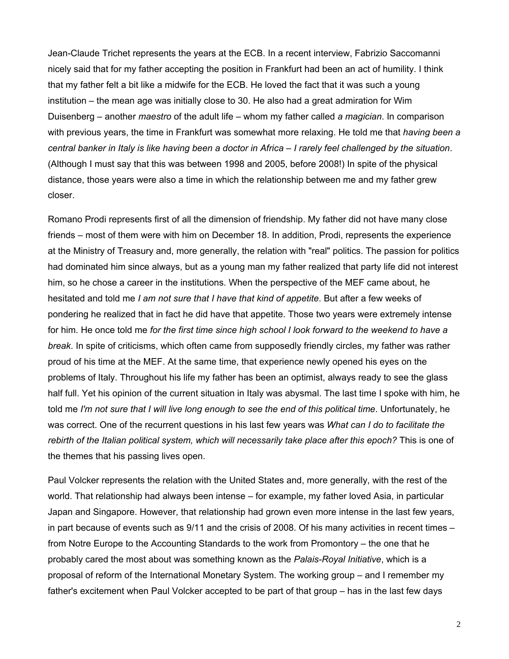Jean-Claude Trichet represents the years at the ECB. In a recent interview, Fabrizio Saccomanni nicely said that for my father accepting the position in Frankfurt had been an act of humility. I think that my father felt a bit like a midwife for the ECB. He loved the fact that it was such a young institution – the mean age was initially close to 30. He also had a great admiration for Wim Duisenberg – another *maestro* of the adult life – whom my father called *a magician*. In comparison with previous years, the time in Frankfurt was somewhat more relaxing. He told me that *having been a central banker in Italy is like having been a doctor in Africa – I rarely feel challenged by the situation.* (Although I must say that this was between 1998 and 2005, before 2008!) In spite of the physical distance, those years were also a time in which the relationship between me and my father grew closer.

Romano Prodi represents first of all the dimension of friendship. My father did not have many close friends – most of them were with him on December 18. In addition, Prodi, represents the experience at the Ministry of Treasury and, more generally, the relation with "real" politics. The passion for politics had dominated him since always, but as a young man my father realized that party life did not interest him, so he chose a career in the institutions. When the perspective of the MEF came about, he hesitated and told me *I am not sure that I have that kind of appetite*. But after a few weeks of pondering he realized that in fact he did have that appetite. Those two years were extremely intense for him. He once told me *for the first time since high school I look forward to the weekend to have a break*. In spite of criticisms, which often came from supposedly friendly circles, my father was rather proud of his time at the MEF. At the same time, that experience newly opened his eyes on the problems of Italy. Throughout his life my father has been an optimist, always ready to see the glass half full. Yet his opinion of the current situation in Italy was abysmal. The last time I spoke with him, he told me *I'm not sure that I will live long enough to see the end of this political time*. Unfortunately, he was correct. One of the recurrent questions in his last few years was *What can I do to facilitate the rebirth of the Italian political system, which will necessarily take place after this epoch?* This is one of the themes that his passing lives open.

Paul Volcker represents the relation with the United States and, more generally, with the rest of the world. That relationship had always been intense – for example, my father loved Asia, in particular Japan and Singapore. However, that relationship had grown even more intense in the last few years, in part because of events such as  $9/11$  and the crisis of 2008. Of his many activities in recent times  $$ from Notre Europe to the Accounting Standards to the work from Promontory – the one that he probably cared the most about was something known as the *Palais-Royal Initiative*, which is a proposal of reform of the International Monetary System. The working group ‒ and I remember my father's excitement when Paul Volcker accepted to be part of that group – has in the last few days